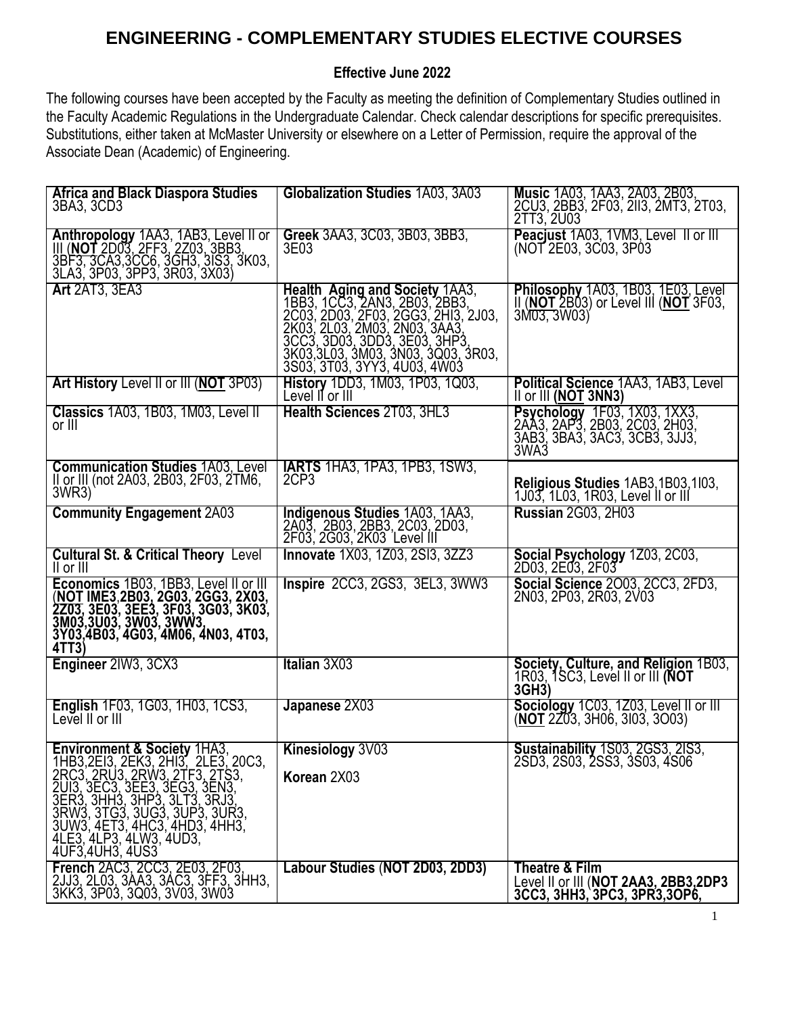## **ENGINEERING - COMPLEMENTARY STUDIES ELECTIVE COURSES**

## **Effective June 2022**

The following courses have been accepted by the Faculty as meeting the definition of Complementary Studies outlined in the Faculty Academic Regulations in the Undergraduate Calendar. Check calendar descriptions for specific prerequisites. Substitutions, either taken at McMaster University or elsewhere on a Letter of Permission, require the approval of the Associate Dean (Academic) of Engineering.

| Africa and Black Diaspora Studies<br>3BA3, 3CD3                                                                                                                                                                                                                                                                            | Globalization Studies 1A03, 3A03                                                                                                                                                                                                                                                    | Music 1A03, 1AA3, 2A03, 2B03,<br>2CU3, 2BB3, 2F03, 2II3, 2MT3, 2T03,<br>2TT3, 2U03                         |
|----------------------------------------------------------------------------------------------------------------------------------------------------------------------------------------------------------------------------------------------------------------------------------------------------------------------------|-------------------------------------------------------------------------------------------------------------------------------------------------------------------------------------------------------------------------------------------------------------------------------------|------------------------------------------------------------------------------------------------------------|
| Anthropology 1AA3, 1AB3, Level II or<br>III (NOT 2D03, 2FF3, 2Z03, 3BB3,<br>3BF3, 3CA3,3CC6, 3GH3, 3IS3, 3K03,<br>3LA3, 3P03, 3PP3, 3R03, 3X03)                                                                                                                                                                            | Greek 3AA3, 3C03, 3B03, 3BB3,<br>3E03                                                                                                                                                                                                                                               | Peacjust 1A03, 1VM3, Level II or III<br>(NOT 2E03, 3C03, 3P03                                              |
| <b>Art 2AT3, 3EA3</b>                                                                                                                                                                                                                                                                                                      | <b>Health Aging and Society 1AA3,</b><br>1883, 1003, 2AN3, 2B03, 2BB3, 2<br>2C03, 2D03, 2F03, 2GG3, 2H13, 2J03, 2K03, 2D03, 2M03, 2N03, 3AA3, 3CC3, 3D03, 3DD3, 3E03, 3H23,<br>3K03, 3D03, 3DD3, 3E03, 3H23,<br>3K03, 3L03, 3M03, 3N03, 3Q03, 3R03,<br>3S03, 3T03, 3YY3, 4U03, 4W03 | Philosophy 1A03, 1B03, 1E03, Level<br>II ( <b>NOT</b> 2B03) or Level III ( <b>NOT</b> 3F03,<br>3M03, 3W03Y |
| Art History Level II or III (NOT 3P03)                                                                                                                                                                                                                                                                                     | History 1DD3, 1M03, 1P03, 1Q03,<br>Level II or III                                                                                                                                                                                                                                  | Political Science 1AA3, 1AB3, Level<br>II or III (NOT 3NN3)                                                |
| Classics 1A03, 1B03, 1M03, Level II<br>or III                                                                                                                                                                                                                                                                              | Health Sciences 2T03, 3HL3                                                                                                                                                                                                                                                          | Psychology 1F03, 1X03, 1XX3, 2AA3, 2AP3, 2B03, 2C03, 2H03, 3AB3, 3BA3, 3AC3, 3CB3, 3JJ3,                   |
| <b>Communication Studies 1A03. Level</b><br>II or III (not 2A03, 2B03, 2F03, 2TM6,<br>3WR3)                                                                                                                                                                                                                                | <b>IARTS</b> 1HA3, 1PA3, 1PB3, 1SW3,<br>2CP3                                                                                                                                                                                                                                        | Religious Studies 1AB3, 1B03, 1l03,<br>1J03, 1L03, 1R03, Level II or III                                   |
| <b>Community Engagement 2A03</b>                                                                                                                                                                                                                                                                                           | Indigenous Studies 1A03, 1AA3,<br>2A03, 2B03, 2BB3, 2C03, 2D03,<br>2F03, 2G03, 2K03 Level III                                                                                                                                                                                       | <b>Russian 2G03, 2H03</b>                                                                                  |
| <b>Cultural St. &amp; Critical Theory Level</b><br>$II$ or $III$                                                                                                                                                                                                                                                           | <b>Innovate</b> 1X03, 1Z03, 2SI3, 3ZZ3                                                                                                                                                                                                                                              | <b>Social Psychology</b> 1Z03, 2C03, 2D03, 2E03, 2F03                                                      |
| Economics 1B03, 1BB3, Level II or III<br>(NOT IME3,2B03, 2G03, 2GG3, 2X03,<br>2Z03, 3E03, 3EE3, 3F03, 3G03, 3K03,<br>3M03,3U03, 3W03, 3WW3,<br>3Y03,4B03, 4G03, 4M06, 4N03, 4T03,<br>4TT3                                                                                                                                  | <b>Inspire 2CC3, 2GS3, 3EL3, 3WW3</b>                                                                                                                                                                                                                                               | Social Science 2003, 2CC3, 2FD3,<br>2N03, 2P03, 2R03, 2V03                                                 |
| Engineer 2IW3, 3CX3                                                                                                                                                                                                                                                                                                        | Italian 3X03                                                                                                                                                                                                                                                                        | Society, Culture, and Religion 1B03,<br>1R03, 1SC3, Level II or III (NOT<br>3GH <sub>3</sub> )             |
| English 1F03, 1G03, 1H03, 1CS3,<br>Level II or III                                                                                                                                                                                                                                                                         | Japanese 2X03                                                                                                                                                                                                                                                                       | Sociology 1C03, 1Z03, Level II or III<br>(NOT 2Z03, 3H06, 3I03, 3O03)                                      |
| Environment & Society 1HA3,<br>1 HB3, 2E13, 2EK3, 2H13, 2LE3, 20C3, 2RC3, 2RU3, 2RW3, 2TF3, 2TS3, 2U13, 3EC3, 3EE3, 3EG3, 3EN3,<br>2U13, 3EC3, 3EE3, 3EG3, 3EN3,<br>3ER3, 3HH3, 3HP3, 3LT3, 3EN3,<br>3ER3, 3HH3, 3HP3, 3LT3, 3RJ3,<br>3RW3, 3TG3, 3UG3, 3UP3, 3UR3,<br>3UW3,<br>4LE3, 4LP3, 4LW3, 4UD3,<br>4UF3,4UH3, 4US3 | Kinesiology 3V03<br>Korean 2X03                                                                                                                                                                                                                                                     | <b>Sustainability</b> 1S03, 2GS3, 2IS3,<br>2SD3, 2S03, 2SS3, 3S03, 4S06                                    |
| French 2AC3, 2CC3, 2E03, 2F03,<br>2JJ3, 2L03, 3AA3, 3AC3, 3FF3, 3HH3,<br>3KK3, 3P03, 3Q03, 3V03, 3W03                                                                                                                                                                                                                      | Labour Studies (NOT 2D03, 2DD3)                                                                                                                                                                                                                                                     | Theatre & Film<br>Level II or III (NOT 2AA3, 2BB3,2DP3<br>3CC3, 3HH3, 3PC3, 3PR3, 3OP6,                    |